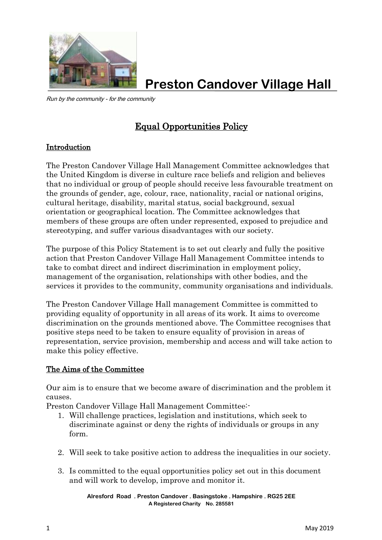

**Preston Candover Village Hall**

Run by the community - for the community

## Equal Opportunities Policy

## Introduction

The Preston Candover Village Hall Management Committee acknowledges that the United Kingdom is diverse in culture race beliefs and religion and believes that no individual or group of people should receive less favourable treatment on the grounds of gender, age, colour, race, nationality, racial or national origins, cultural heritage, disability, marital status, social background, sexual orientation or geographical location. The Committee acknowledges that members of these groups are often under represented, exposed to prejudice and stereotyping, and suffer various disadvantages with our society.

The purpose of this Policy Statement is to set out clearly and fully the positive action that Preston Candover Village Hall Management Committee intends to take to combat direct and indirect discrimination in employment policy, management of the organisation, relationships with other bodies, and the services it provides to the community, community organisations and individuals.

The Preston Candover Village Hall management Committee is committed to providing equality of opportunity in all areas of its work. It aims to overcome discrimination on the grounds mentioned above. The Committee recognises that positive steps need to be taken to ensure equality of provision in areas of representation, service provision, membership and access and will take action to make this policy effective.

## The Aims of the Committee

Our aim is to ensure that we become aware of discrimination and the problem it causes.

Preston Candover Village Hall Management Committee:-

- 1. Will challenge practices, legislation and institutions, which seek to discriminate against or deny the rights of individuals or groups in any form.
- 2. Will seek to take positive action to address the inequalities in our society.
- 3. Is committed to the equal opportunities policy set out in this document and will work to develop, improve and monitor it.

**Alresford Road . Preston Candover . Basingstoke . Hampshire . RG25 2EE A Registered Charity No. 285581**